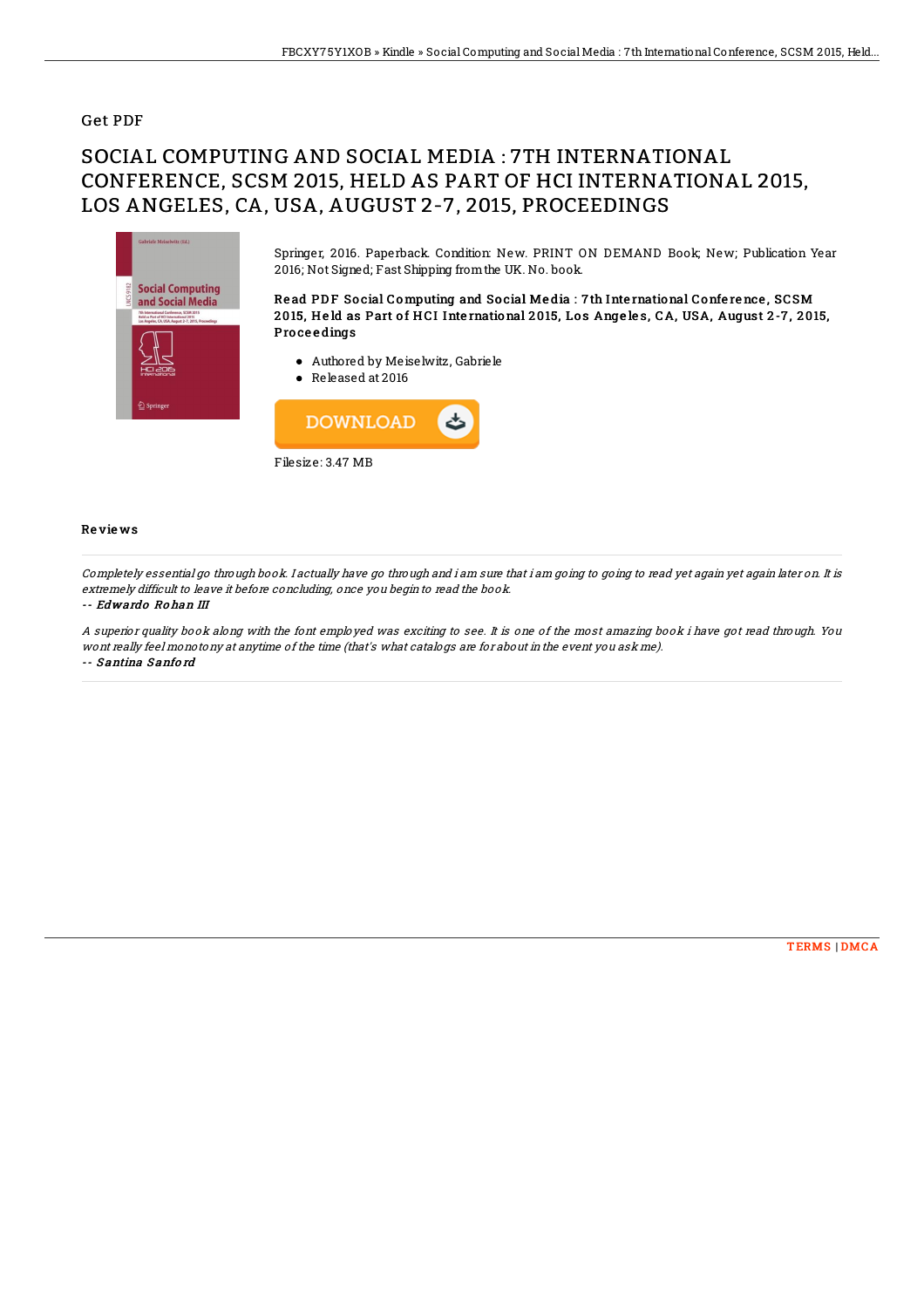## Get PDF

# SOCIAL COMPUTING AND SOCIAL MEDIA : 7TH INTERNATIONAL CONFERENCE, SCSM 2015, HELD AS PART OF HCI INTERNATIONAL 2015, LOS ANGELES, CA, USA, AUGUST 2-7, 2015, PROCEEDINGS



Springer, 2016. Paperback. Condition: New. PRINT ON DEMAND Book; New; Publication Year 2016; Not Signed; Fast Shipping fromthe UK. No. book.

### Read PDF Social Computing and Social Media : 7th International Conference, SCSM 2015, Held as Part of HCI International 2015, Los Angeles, CA, USA, August 2-7, 2015, **Proceedings**

- Authored by Meiselwitz, Gabriele
- Released at 2016



#### Re vie ws

Completely essential go through book. I actually have go through and i am sure that i am going to going to read yet again yet again later on. It is extremely difficult to leave it before concluding, once you begin to read the book.

#### -- Edwardo Ro han III

A superior quality book along with the font employed was exciting to see. It is one of the most amazing book i have got read through. You wont really feel monotony at anytime of the time (that's what catalogs are for about in the event you ask me).

-- Santina Sanford